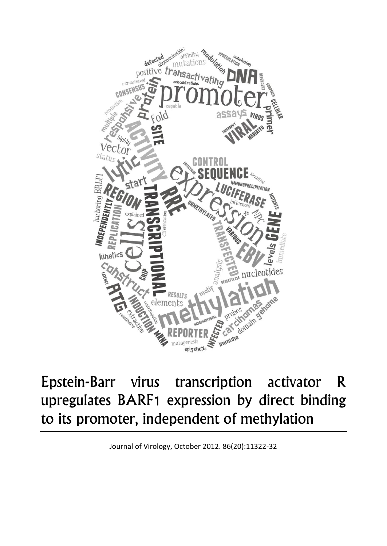

## Epstein-Barr virus transcription activator R upregulates BARF1 expression by direct binding to its promoter, independent of methylation

Journal of Virology, October 2012. 86(20):11322-32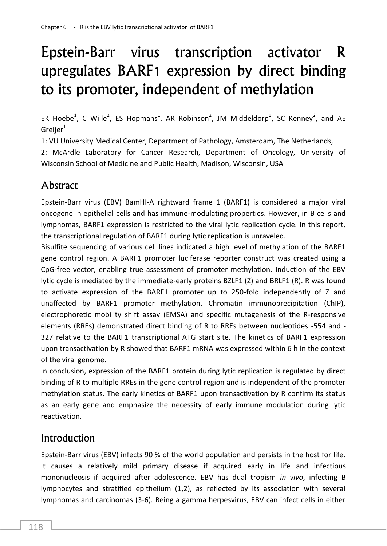# Epstein-Barr virus transcription activator R upregulates BARF1 expression by direct binding to its promoter, independent of methylation

EK Hoebe<sup>1</sup>, C Wille<sup>2</sup>, ES Hopmans<sup>1</sup>, AR Robinson<sup>2</sup>, JM Middeldorp<sup>1</sup>, SC Kenney<sup>2</sup>, and AE Greijer $1$ 

1: VU University Medical Center, Department of Pathology, Amsterdam, The Netherlands,

2: McArdle Laboratory for Cancer Research, Department of Oncology, University of Wisconsin School of Medicine and Public Health, Madison, Wisconsin, USA

### Abstract

Epstein-Barr virus (EBV) BamHI-A rightward frame 1 (BARF1) is considered a major viral oncogene in epithelial cells and has immune-modulating properties. However, in B cells and lymphomas, BARF1 expression is restricted to the viral lytic replication cycle. In this report, the transcriptional regulation of BARF1 during lytic replication is unraveled.

Bisulfite sequencing of various cell lines indicated a high level of methylation of the BARF1 gene control region. A BARF1 promoter luciferase reporter construct was created using a CpG-free vector, enabling true assessment of promoter methylation. Induction of the EBV lytic cycle is mediated by the immediate-early proteins BZLF1 (Z) and BRLF1 (R). R was found to activate expression of the BARF1 promoter up to 250-fold independently of Z and unaffected by BARF1 promoter methylation. Chromatin immunoprecipitation (ChIP), electrophoretic mobility shift assay (EMSA) and specific mutagenesis of the R-responsive elements (RREs) demonstrated direct binding of R to RREs between nucleotides -554 and - 327 relative to the BARF1 transcriptional ATG start site. The kinetics of BARF1 expression upon transactivation by R showed that BARF1 mRNA was expressed within 6 h in the context of the viral genome.

In conclusion, expression of the BARF1 protein during lytic replication is regulated by direct binding of R to multiple RREs in the gene control region and is independent of the promoter methylation status. The early kinetics of BARF1 upon transactivation by R confirm its status as an early gene and emphasize the necessity of early immune modulation during lytic reactivation.

## **Introduction**

Epstein-Barr virus (EBV) infects 90 % of the world population and persists in the host for life. It causes a relatively mild primary disease if acquired early in life and infectious mononucleosis if acquired after adolescence. EBV has dual tropism *in vivo*, infecting B lymphocytes and stratified epithelium (1,2), as reflected by its association with several lymphomas and carcinomas (3-6). Being a gamma herpesvirus, EBV can infect cells in either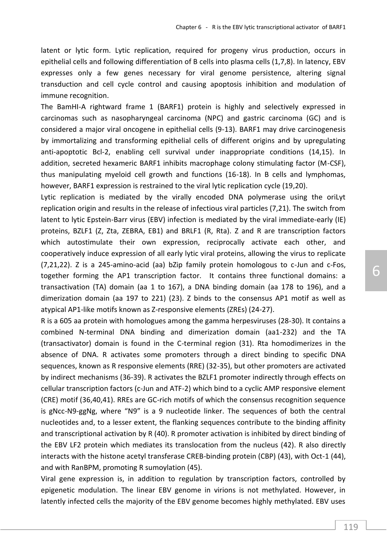latent or lytic form. Lytic replication, required for progeny virus production, occurs in epithelial cells and following differentiation of B cells into plasma cells (1,7,8). In latency, EBV expresses only a few genes necessary for viral genome persistence, altering signal transduction and cell cycle control and causing apoptosis inhibition and modulation of immune recognition.

The BamHI-A rightward frame 1 (BARF1) protein is highly and selectively expressed in carcinomas such as nasopharyngeal carcinoma (NPC) and gastric carcinoma (GC) and is considered a major viral oncogene in epithelial cells (9-13). BARF1 may drive carcinogenesis by immortalizing and transforming epithelial cells of different origins and by upregulating anti-apoptotic Bcl-2, enabling cell survival under inappropriate conditions (14,15). In addition, secreted hexameric BARF1 inhibits macrophage colony stimulating factor (M-CSF), thus manipulating myeloid cell growth and functions (16-18). In B cells and lymphomas, however, BARF1 expression is restrained to the viral lytic replication cycle (19,20).

Lytic replication is mediated by the virally encoded DNA polymerase using the oriLyt replication origin and results in the release of infectious viral particles (7,21). The switch from latent to lytic Epstein-Barr virus (EBV) infection is mediated by the viral immediate-early (IE) proteins, BZLF1 (Z, Zta, ZEBRA, EB1) and BRLF1 (R, Rta). Z and R are transcription factors which autostimulate their own expression, reciprocally activate each other, and cooperatively induce expression of all early lytic viral proteins, allowing the virus to replicate (7,21,22). Z is a 245-amino-acid (aa) bZip family protein homologous to c-Jun and c-Fos, together forming the AP1 transcription factor. It contains three functional domains: a transactivation (TA) domain (aa 1 to 167), a DNA binding domain (aa 178 to 196), and a dimerization domain (aa 197 to 221) (23). Z binds to the consensus AP1 motif as well as atypical AP1-like motifs known as Z-responsive elements (ZREs) (24-27).

R is a 605 aa protein with homologues among the gamma herpesviruses (28-30). It contains a combined N-terminal DNA binding and dimerization domain (aa1-232) and the TA (transactivator) domain is found in the C-terminal region (31). Rta homodimerizes in the absence of DNA. R activates some promoters through a direct binding to specific DNA sequences, known as R responsive elements (RRE) (32-35), but other promoters are activated by indirect mechanisms (36-39). R activates the BZLF1 promoter indirectly through effects on cellular transcription factors (c-Jun and ATF-2) which bind to a cyclic AMP responsive element (CRE) motif (36,40,41). RREs are GC-rich motifs of which the consensus recognition sequence is gNcc-N9-ggNg, where "N9" is a 9 nucleotide linker. The sequences of both the central nucleotides and, to a lesser extent, the flanking sequences contribute to the binding affinity and transcriptional activation by R (40). R promoter activation is inhibited by direct binding of the EBV LF2 protein which mediates its translocation from the nucleus (42). R also directly interacts with the histone acetyl transferase CREB-binding protein (CBP) (43), with Oct-1 (44), and with RanBPM, promoting R sumoylation (45).

Viral gene expression is, in addition to regulation by transcription factors, controlled by epigenetic modulation. The linear EBV genome in virions is not methylated. However, in latently infected cells the majority of the EBV genome becomes highly methylated. EBV uses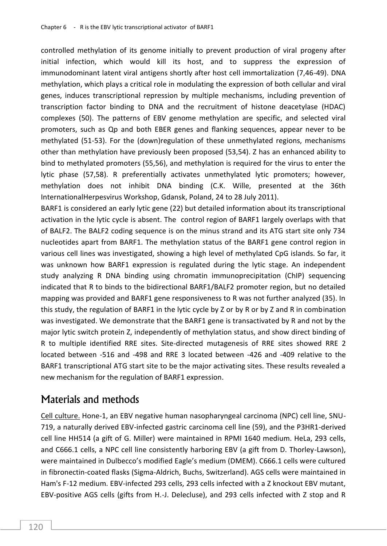controlled methylation of its genome initially to prevent production of viral progeny after initial infection, which would kill its host, and to suppress the expression of immunodominant latent viral antigens shortly after host cell immortalization (7,46-49). DNA methylation, which plays a critical role in modulating the expression of both cellular and viral genes, induces transcriptional repression by multiple mechanisms, including prevention of transcription factor binding to DNA and the recruitment of histone deacetylase (HDAC) complexes (50). The patterns of EBV genome methylation are specific, and selected viral promoters, such as Qp and both EBER genes and flanking sequences, appear never to be methylated (51-53). For the (down)regulation of these unmethylated regions, mechanisms other than methylation have previously been proposed (53,54). Z has an enhanced ability to bind to methylated promoters (55,56), and methylation is required for the virus to enter the lytic phase (57,58). R preferentially activates unmethylated lytic promoters; however, methylation does not inhibit DNA binding (C.K. Wille, presented at the 36th InternationalHerpesvirus Workshop, Gdansk, Poland, 24 to 28 July 2011).

BARF1 is considered an early lytic gene (22) but detailed information about its transcriptional activation in the lytic cycle is absent. The control region of BARF1 largely overlaps with that of BALF2. The BALF2 coding sequence is on the minus strand and its ATG start site only 734 nucleotides apart from BARF1. The methylation status of the BARF1 gene control region in various cell lines was investigated, showing a high level of methylated CpG islands. So far, it was unknown how BARF1 expression is regulated during the lytic stage. An independent study analyzing R DNA binding using chromatin immunoprecipitation (ChIP) sequencing indicated that R to binds to the bidirectional BARF1/BALF2 promoter region, but no detailed mapping was provided and BARF1 gene responsiveness to R was not further analyzed (35). In this study, the regulation of BARF1 in the lytic cycle by Z or by R or by Z and R in combination was investigated. We demonstrate that the BARF1 gene is transactivated by R and not by the major lytic switch protein Z, independently of methylation status, and show direct binding of R to multiple identified RRE sites. Site-directed mutagenesis of RRE sites showed RRE 2 located between -516 and -498 and RRE 3 located between -426 and -409 relative to the BARF1 transcriptional ATG start site to be the major activating sites. These results revealed a new mechanism for the regulation of BARF1 expression.

### Materials and methods

Cell culture. Hone-1, an EBV negative human nasopharyngeal carcinoma (NPC) cell line, SNU-719, a naturally derived EBV-infected gastric carcinoma cell line (59), and the P3HR1-derived cell line HH514 (a gift of G. Miller) were maintained in RPMI 1640 medium. HeLa, 293 cells, and C666.1 cells, a NPC cell line consistently harboring EBV (a gift from D. Thorley-Lawson), were maintained in Dulbecco's modified Eagle's medium (DMEM). C666.1 cells were cultured in fibronectin-coated flasks (Sigma-Aldrich, Buchs, Switzerland). AGS cells were maintained in Ham's F-12 medium. EBV-infected 293 cells, 293 cells infected with a Z knockout EBV mutant, EBV-positive AGS cells (gifts from H.-J. Delecluse), and 293 cells infected with Z stop and R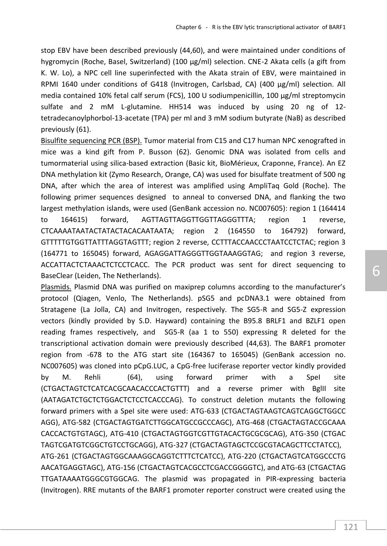stop EBV have been described previously (44,60), and were maintained under conditions of hygromycin (Roche, Basel, Switzerland) (100 µg/ml) selection. CNE-2 Akata cells (a gift from K. W. Lo), a NPC cell line superinfected with the Akata strain of EBV, were maintained in RPMI 1640 under conditions of G418 (Invitrogen, Carlsbad, CA) (400 µg/ml) selection. All media contained 10% fetal calf serum (FCS), 100 U sodiumpenicillin, 100 µg/ml streptomycin sulfate and 2 mM L-glutamine. HH514 was induced by using 20 ng of 12 tetradecanoylphorbol-13-acetate (TPA) per ml and 3 mM sodium butyrate (NaB) as described previously (61).

Bisulfite sequencing PCR (BSP). Tumor material from C15 and C17 human NPC xenografted in mice was a kind gift from P. Busson (62). Genomic DNA was isolated from cells and tumormaterial using silica-based extraction (Basic kit, BioMérieux, Craponne, France). An EZ DNA methylation kit (Zymo Research, Orange, CA) was used for bisulfate treatment of 500 ng DNA, after which the area of interest was amplified using AmpliTaq Gold (Roche). The following primer sequences designed to anneal to conversed DNA, and flanking the two largest methylation islands, were used (GenBank accession no. NC007605): region 1 (164414 to 164615) forward, AGTTAGTTAGGTTGGTTAGGGTTTA; region 1 reverse, CTCAAAATAATACTATACTACACAATAATA; region 2 (164550 to 164792) forward, GTTTTTGTGGTTATTTAGGTAGTTT; region 2 reverse, CCTTTACCAACCCTAATCCTCTAC; region 3 (164771 to 165045) forward, AGAGGATTAGGGTTGGTAAAGGTAG; and region 3 reverse, ACCATTACTCTAAACTCTCCTCACC. The PCR product was sent for direct sequencing to BaseClear (Leiden, The Netherlands).

Plasmids. Plasmid DNA was purified on maxiprep columns according to the manufacturer's protocol (Qiagen, Venlo, The Netherlands). pSG5 and pcDNA3.1 were obtained from Stratagene (La Jolla, CA) and Invitrogen, respectively. The SG5-R and SG5-Z expression vectors (kindly provided by S.D. Hayward) containing the B95.8 BRLF1 and BZLF1 open reading frames respectively, and SG5-R (aa 1 to 550) expressing R deleted for the transcriptional activation domain were previously described (44,63). The BARF1 promoter region from -678 to the ATG start site (164367 to 165045) (GenBank accession no. NC007605) was cloned into pCpG.LUC, a CpG-free luciferase reporter vector kindly provided by M. Rehli (64), using forward primer with a SpeI site (CTGACTAGTCTCATCACGCAACACCCACTGTTT) and a reverse primer with BglII site (AATAGATCTGCTCTGGACTCTCCTCACCCAG). To construct deletion mutants the following forward primers with a SpeI site were used: ATG-633 (CTGACTAGTAAGTCAGTCAGGCTGGCC AGG), ATG-582 (CTGACTAGTGATCTTGGCATGCCGCCCAGC), ATG-468 (CTGACTAGTACCGCAAA CACCACTGTGTAGC), ATG-410 (CTGACTAGTGGTCGTTGTACACTGCGCGCAG), ATG-350 (CTGAC TAGTCGATGTCGGCTGTCCTGCAGG), ATG-327 (CTGACTAGTAGCTCCGCGTACAGCTTCCTATCC), ATG-261 (CTGACTAGTGGCAAAGGCAGGTCTTTCTCATCC), ATG-220 (CTGACTAGTCATGGCCCTG AACATGAGGTAGC), ATG-156 (CTGACTAGTCACGCCTCGACCGGGGTC), and ATG-63 (CTGACTAG TTGATAAAATGGGCGTGGCAG. The plasmid was propagated in PIR-expressing bacteria (Invitrogen). RRE mutants of the BARF1 promoter reporter construct were created using the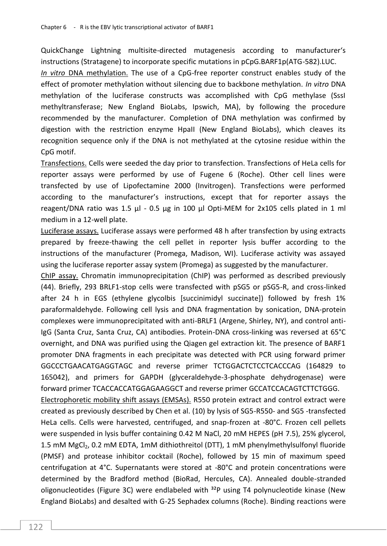QuickChange Lightning multisite-directed mutagenesis according to manufacturer's instructions (Stratagene) to incorporate specific mutations in pCpG.BARF1p(ATG-582).LUC.

*In vitro* DNA methylation. The use of a CpG-free reporter construct enables study of the effect of promoter methylation without silencing due to backbone methylation. *In vitro* DNA methylation of the luciferase constructs was accomplished with CpG methylase (SssI methyltransferase; New England BioLabs, Ipswich, MA), by following the procedure recommended by the manufacturer. Completion of DNA methylation was confirmed by digestion with the restriction enzyme HpaII (New England BioLabs), which cleaves its recognition sequence only if the DNA is not methylated at the cytosine residue within the CpG motif.

Transfections. Cells were seeded the day prior to transfection. Transfections of HeLa cells for reporter assays were performed by use of Fugene 6 (Roche). Other cell lines were transfected by use of Lipofectamine 2000 (Invitrogen). Transfections were performed according to the manufacturer's instructions, except that for reporter assays the reagent/DNA ratio was 1.5  $\mu$ I - 0.5  $\mu$ g in 100  $\mu$ I Opti-MEM for 2x105 cells plated in 1 ml medium in a 12-well plate.

Luciferase assays. Luciferase assays were performed 48 h after transfection by using extracts prepared by freeze-thawing the cell pellet in reporter lysis buffer according to the instructions of the manufacturer (Promega, Madison, WI). Luciferase activity was assayed using the luciferase reporter assay system (Promega) as suggested by the manufacturer.

ChIP assay. Chromatin immunoprecipitation (ChIP) was performed as described previously (44). Briefly, 293 BRLF1-stop cells were transfected with pSG5 or pSG5-R, and cross-linked after 24 h in EGS (ethylene glycolbis [succinimidyl succinate]) followed by fresh 1% paraformaldehyde. Following cell lysis and DNA fragmentation by sonication, DNA-protein complexes were immunoprecipitated with anti-BRLF1 (Argene, Shirley, NY), and control anti-IgG (Santa Cruz, Santa Cruz, CA) antibodies. Protein-DNA cross-linking was reversed at 65°C overnight, and DNA was purified using the Qiagen gel extraction kit. The presence of BARF1 promoter DNA fragments in each precipitate was detected with PCR using forward primer GGCCCTGAACATGAGGTAGC and reverse primer TCTGGACTCTCCTCACCCAG (164829 to 165042), and primers for GAPDH (glyceraldehyde-3-phosphate dehydrogenase) were forward primer TCACCACCATGGAGAAGGCT and reverse primer GCCATCCACAGTCTTCTGGG.

Electrophoretic mobility shift assays (EMSAs). R550 protein extract and control extract were created as previously described by Chen et al. (10) by lysis of SG5-R550- and SG5 -transfected HeLa cells. Cells were harvested, centrifuged, and snap-frozen at -80°C. Frozen cell pellets were suspended in lysis buffer containing 0.42 M NaCl, 20 mM HEPES (pH 7.5), 25% glycerol, 1.5 mM MgCl<sub>2</sub>, 0.2 mM EDTA, 1mM dithiothreitol (DTT), 1 mM phenylmethylsulfonyl fluoride (PMSF) and protease inhibitor cocktail (Roche), followed by 15 min of maximum speed centrifugation at 4°C. Supernatants were stored at -80°C and protein concentrations were determined by the Bradford method (BioRad, Hercules, CA). Annealed double-stranded oligonucleotides (Figure 3C) were endlabeled with  $32P$  using T4 polynucleotide kinase (New England BioLabs) and desalted with G-25 Sephadex columns (Roche). Binding reactions were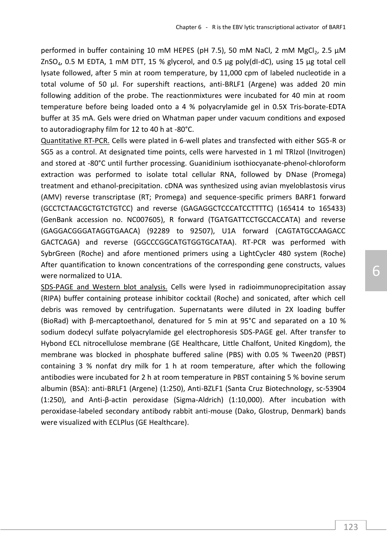performed in buffer containing 10 mM HEPES (pH 7.5), 50 mM NaCl, 2 mM MgCl<sub>2</sub>, 2.5 µM  $ZnSO<sub>4</sub>$ , 0.5 M EDTA, 1 mM DTT, 15 % glycerol, and 0.5 µg poly(dI-dC), using 15 µg total cell lysate followed, after 5 min at room temperature, by 11,000 cpm of labeled nucleotide in a total volume of 50 µl. For supershift reactions, anti-BRLF1 (Argene) was added 20 min following addition of the probe. The reactionmixtures were incubated for 40 min at room temperature before being loaded onto a 4 % polyacrylamide gel in 0.5X Tris-borate-EDTA buffer at 35 mA. Gels were dried on Whatman paper under vacuum conditions and exposed to autoradiography film for 12 to 40 h at -80°C.

Quantitative RT-PCR. Cells were plated in 6-well plates and transfected with either SG5-R or SG5 as a control. At designated time points, cells were harvested in 1 ml TRIzol (Invitrogen) and stored at -80°C until further processing. Guanidinium isothiocyanate-phenol-chloroform extraction was performed to isolate total cellular RNA, followed by DNase (Promega) treatment and ethanol-precipitation. cDNA was synthesized using avian myeloblastosis virus (AMV) reverse transcriptase (RT; Promega) and sequence-specific primers BARF1 forward (GCCTCTAACGCTGTCTGTCC) and reverse (GAGAGGCTCCCATCCTTTTC) (165414 to 165433) (GenBank accession no. NC007605), R forward (TGATGATTCCTGCCACCATA) and reverse (GAGGACGGGATAGGTGAACA) (92289 to 92507), U1A forward (CAGTATGCCAAGACC GACTCAGA) and reverse (GGCCCGGCATGTGGTGCATAA). RT-PCR was performed with SybrGreen (Roche) and afore mentioned primers using a LightCycler 480 system (Roche) After quantification to known concentrations of the corresponding gene constructs, values were normalized to U1A.

SDS-PAGE and Western blot analysis. Cells were lysed in radioimmunoprecipitation assay (RIPA) buffer containing protease inhibitor cocktail (Roche) and sonicated, after which cell debris was removed by centrifugation. Supernatants were diluted in 2X loading buffer (BioRad) with β-mercaptoethanol, denatured for 5 min at 95°C and separated on a 10 % sodium dodecyl sulfate polyacrylamide gel electrophoresis SDS-PAGE gel. After transfer to Hybond ECL nitrocellulose membrane (GE Healthcare, Little Chalfont, United Kingdom), the membrane was blocked in phosphate buffered saline (PBS) with 0.05 % Tween20 (PBST) containing 3 % nonfat dry milk for 1 h at room temperature, after which the following antibodies were incubated for 2 h at room temperature in PBST containing 5 % bovine serum albumin (BSA): anti-BRLF1 (Argene) (1:250), Anti-BZLF1 (Santa Cruz Biotechnology, sc-53904 (1:250), and Anti-β-actin peroxidase (Sigma-Aldrich) (1:10,000). After incubation with peroxidase-labeled secondary antibody rabbit anti-mouse (Dako, Glostrup, Denmark) bands were visualized with ECLPlus (GE Healthcare).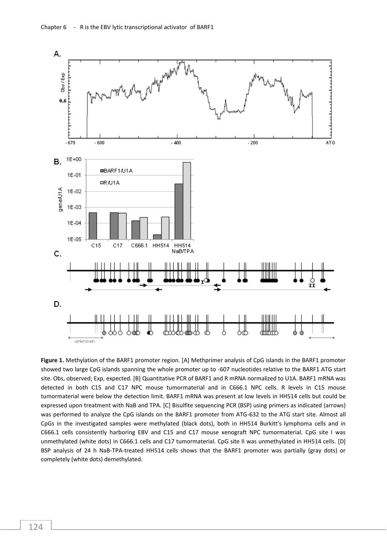

**Figure 1.** Methylation of the BARF1 promoter region. [A] Methprimer analysis of CpG islands in the BARF1 promoter showed two large CpG islands spanning the whole promoter up to -607 nucleotides relative to the BARF1 ATG start site. Obs, observed; Exp, expected. [B] Quantitative PCR of BARF1 and R mRNA normalized to U1A. BARF1 mRNA was detected in both C15 and C17 NPC mouse tumormaterial and in C666.1 NPC cells. R levels in C15 mouse tumormaterial were below the detection limit. BARF1 mRNA was present at low levels in HH514 cells but could be expressed upon treatment with NaB and TPA. [C] Bisulfite sequencing PCR (BSP) using primers as indicated (arrows) was performed to analyze the CpG islands on the BARF1 promoter from ATG-632 to the ATG start site. Almost all CpGs in the investigated samples were methylated (black dots), both in HH514 Burkitt's lymphoma cells and in C666.1 cells consistently harboring EBV and C15 and C17 mouse xenograft NPC tumormaterial. CpG site I was unmethylated (white dots) in C666.1 cells and C17 tumormaterial. CpG site II was unmethylated in HH514 cells. [D] BSP analysis of 24 h NaB-TPA-treated HH514 cells shows that the BARF1 promoter was partially (gray dots) or completely (white dots) demethylated.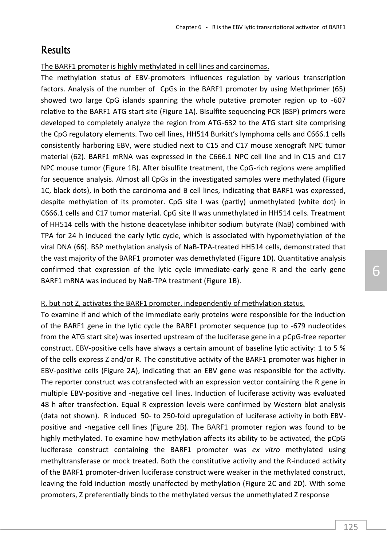### **Results**

The BARF1 promoter is highly methylated in cell lines and carcinomas.

The methylation status of EBV-promoters influences regulation by various transcription factors. Analysis of the number of CpGs in the BARF1 promoter by using Methprimer (65) showed two large CpG islands spanning the whole putative promoter region up to -607 relative to the BARF1 ATG start site (Figure 1A). Bisulfite sequencing PCR (BSP) primers were developed to completely analyze the region from ATG-632 to the ATG start site comprising the CpG regulatory elements. Two cell lines, HH514 Burkitt's lymphoma cells and C666.1 cells consistently harboring EBV, were studied next to C15 and C17 mouse xenograft NPC tumor material (62). BARF1 mRNA was expressed in the C666.1 NPC cell line and in C15 and C17 NPC mouse tumor (Figure 1B). After bisulfite treatment, the CpG-rich regions were amplified for sequence analysis. Almost all CpGs in the investigated samples were methylated (Figure 1C, black dots), in both the carcinoma and B cell lines, indicating that BARF1 was expressed, despite methylation of its promoter. CpG site I was (partly) unmethylated (white dot) in C666.1 cells and C17 tumor material. CpG site II was unmethylated in HH514 cells. Treatment of HH514 cells with the histone deacetylase inhibitor sodium butyrate (NaB) combined with TPA for 24 h induced the early lytic cycle, which is associated with hypomethylation of the viral DNA (66). BSP methylation analysis of NaB-TPA-treated HH514 cells, demonstrated that the vast majority of the BARF1 promoter was demethylated (Figure 1D). Quantitative analysis confirmed that expression of the lytic cycle immediate-early gene R and the early gene BARF1 mRNA was induced by NaB-TPA treatment (Figure 1B).

#### R, but not Z, activates the BARF1 promoter, independently of methylation status.

To examine if and which of the immediate early proteins were responsible for the induction of the BARF1 gene in the lytic cycle the BARF1 promoter sequence (up to -679 nucleotides from the ATG start site) was inserted upstream of the luciferase gene in a pCpG-free reporter construct. EBV-positive cells have always a certain amount of baseline lytic activity: 1 to 5 % of the cells express Z and/or R. The constitutive activity of the BARF1 promoter was higher in EBV-positive cells (Figure 2A), indicating that an EBV gene was responsible for the activity. The reporter construct was cotransfected with an expression vector containing the R gene in multiple EBV-positive and -negative cell lines. Induction of luciferase activity was evaluated 48 h after transfection. Equal R expression levels were confirmed by Western blot analysis (data not shown). R induced 50- to 250-fold upregulation of luciferase activity in both EBVpositive and -negative cell lines (Figure 2B). The BARF1 promoter region was found to be highly methylated. To examine how methylation affects its ability to be activated, the pCpG luciferase construct containing the BARF1 promoter was *ex vitro* methylated using methyltransferase or mock treated. Both the constitutive activity and the R-induced activity of the BARF1 promoter-driven luciferase construct were weaker in the methylated construct, leaving the fold induction mostly unaffected by methylation (Figure 2C and 2D). With some promoters, Z preferentially binds to the methylated versus the unmethylated Z response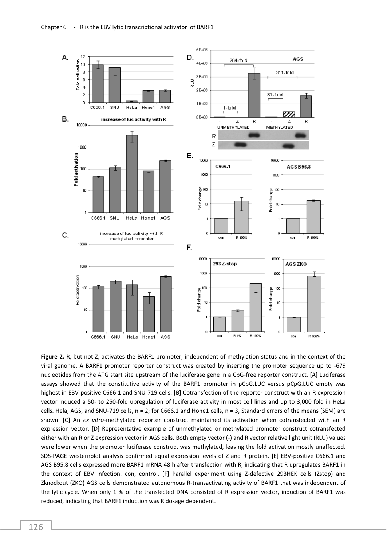

**Figure 2.** R, but not Z, activates the BARF1 promoter, independent of methylation status and in the context of the viral genome. A BARF1 promoter reporter construct was created by inserting the promoter sequence up to -679 nucleotides from the ATG start site upstream of the luciferase gene in a CpG-free reporter construct. [A] Luciferase assays showed that the constitutive activity of the BARF1 promoter in pCpG.LUC versus pCpG.LUC empty was highest in EBV-positive C666.1 and SNU-719 cells. [B] Cotransfection of the reporter construct with an R expression vector induced a 50- to 250-fold upregulation of luciferase activity in most cell lines and up to 3,000 fold in HeLa cells. Hela, AGS, and SNU-719 cells,  $n = 2$ ; for C666.1 and Hone1 cells,  $n = 3$ , Standard errors of the means (SEM) are shown. [C] An *ex vitro*-methylated reporter construct maintained its activation when cotransfected with an R expression vector. [D] Representative example of unmethylated or methylated promoter construct cotransfected either with an R or Z expression vector in AGS cells. Both empty vector (-) and R vector relative light unit (RLU) values were lower when the promoter luciferase construct was methylated, leaving the fold activation mostly unaffected. SDS-PAGE westernblot analysis confirmed equal expression levels of Z and R protein. [E] EBV-positive C666.1 and AGS B95.8 cells expressed more BARF1 mRNA 48 h after transfection with R, indicating that R upregulates BARF1 in the context of EBV infection. con, control. [F] Parallel experiment using Z-defective 293HEK cells (Zstop) and Zknockout (ZKO) AGS cells demonstrated autonomous R-transactivating activity of BARF1 that was independent of the lytic cycle. When only 1 % of the transfected DNA consisted of R expression vector, induction of BARF1 was reduced, indicating that BARF1 induction was R dosage dependent.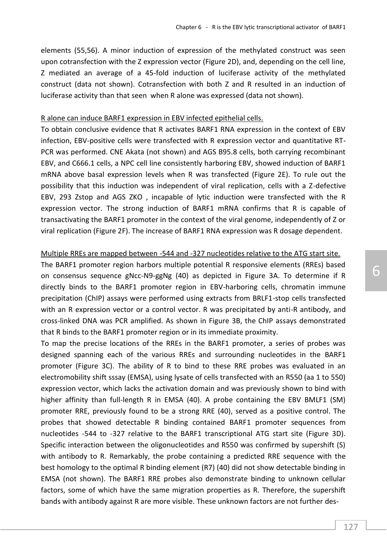elements (55,56). A minor induction of expression of the methylated construct was seen upon cotransfection with the Z expression vector (Figure 2D), and, depending on the cell line, Z mediated an average of a 45-fold induction of luciferase activity of the methylated construct (data not shown). Cotransfection with both Z and R resulted in an induction of luciferase activity than that seen when R alone was expressed (data not shown).

#### R alone can induce BARF1 expression in EBV infected epithelial cells.

To obtain conclusive evidence that R activates BARF1 RNA expression in the context of EBV infection, EBV-positive cells were transfected with R expression vector and quantitative RT-PCR was performed. CNE Akata (not shown) and AGS B95.8 cells, both carrying recombinant EBV, and C666.1 cells, a NPC cell line consistently harboring EBV, showed induction of BARF1 mRNA above basal expression levels when R was transfected (Figure 2E). To rule out the possibility that this induction was independent of viral replication, cells with a Z-defective EBV, 293 Zstop and AGS ZKO , incapable of lytic induction were transfected with the R expression vector. The strong induction of BARF1 mRNA confirms that R is capable of transactivating the BARF1 promoter in the context of the viral genome, independently of Z or viral replication (Figure 2F). The increase of BARF1 RNA expression was R dosage dependent.

#### Multiple RREs are mapped between -544 and -327 nucleotides relative to the ATG start site.

The BARF1 promoter region harbors multiple potential R responsive elements (RREs) based on consensus sequence gNcc-N9-ggNg (40) as depicted in Figure 3A. To determine if R directly binds to the BARF1 promoter region in EBV-harboring cells, chromatin immune precipitation (ChIP) assays were performed using extracts from BRLF1-stop cells transfected with an R expression vector or a control vector. R was precipitated by anti-R antibody, and cross-linked DNA was PCR amplified. As shown in Figure 3B, the ChIP assays demonstrated that R binds to the BARF1 promoter region or in its immediate proximity.

To map the precise locations of the RREs in the BARF1 promoter, a series of probes was designed spanning each of the various RREs and surrounding nucleotides in the BARF1 promoter (Figure 3C). The ability of R to bind to these RRE probes was evaluated in an electromobility shift sssay (EMSA), using lysate of cells transfected with an R550 (aa 1 to 550) expression vector, which lacks the activation domain and was previously shown to bind with higher affinity than full-length R in EMSA (40). A probe containing the EBV BMLF1 (SM) promoter RRE, previously found to be a strong RRE (40), served as a positive control. The probes that showed detectable R binding contained BARF1 promoter sequences from nucleotides -544 to -327 relative to the BARF1 transcriptional ATG start site (Figure 3D). Specific interaction between the oligonucleotides and R550 was confirmed by supershift (S) with antibody to R. Remarkably, the probe containing a predicted RRE sequence with the best homology to the optimal R binding element (R7) (40) did not show detectable binding in EMSA (not shown). The BARF1 RRE probes also demonstrate binding to unknown cellular factors, some of which have the same migration properties as R. Therefore, the supershift bands with antibody against R are more visible. These unknown factors are not further des-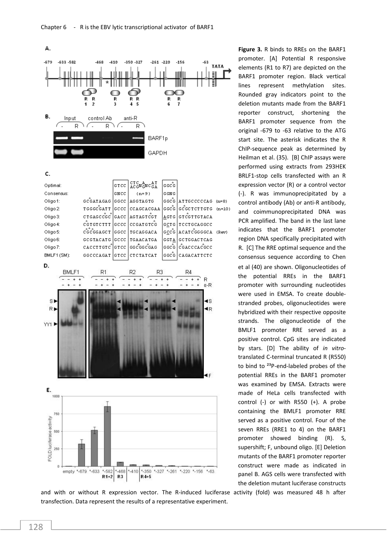

c.



and with or without R expression vector. The R-induced luciferase activity (fold) was measured 48 h after transfection. Data represent the results of a representative experiment.

**Figure 3.** R binds to RREs on the BARF1 promoter. [A] Potential R responsive elements (R1 to R7) are depicted on the BARF1 promoter region. Black vertical lines represent methylation sites. Rounded gray indicators point to the deletion mutants made from the BARF1 reporter construct, shortening the BARF1 promoter sequence from the original -679 to -63 relative to the ATG start site. The asterisk indicates the R ChIP-sequence peak as determined by Heilman et al. (35). [B] ChIP assays were performed using extracts from 293HEK BRLF1-stop cells transfected with an R expression vector (R) or a control vector (-). R was immunoprecipitated by a control antibody (Ab) or anti-R antibody, and coimmunoprecipitated DNA was PCR amplified. The band in the last lane indicates that the BARF1 promoter region DNA specifically precipitated with R. [C] The RRE optimal sequence and the consensus sequence according to Chen et al (40) are shown. Oligonucleotides of the potential RREs in the BARF1 promoter with surrounding nucleotides were used in EMSA. To create doublestranded probes, oligonucleotides were hybridized with their respective opposite strands. The oligonucleotide of the BMLF1 promoter RRE served as a positive control. CpG sites are indicated by stars. [D] The ability of *in vitro*translated C-terminal truncated R (R550) to bind to <sup>23</sup>P-end-labeled probes of the potential RREs in the BARF1 promoter was examined by EMSA. Extracts were made of HeLa cells transfected with control (-) or with R550 (+). A probe containing the BMLF1 promoter RRE served as a positive control. Four of the seven RREs (RRE1 to 4) on the BARF1 promoter showed binding (R). S, supershift; F, unbound oligo. [E] Deletion mutants of the BARF1 promoter reporter construct were made as indicated in panel B. AGS cells were transfected with the deletion mutant luciferase constructs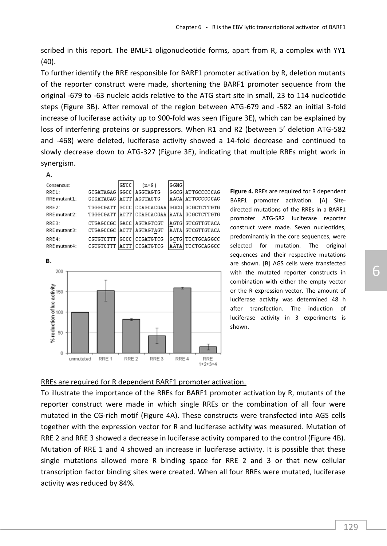scribed in this report. The BMLF1 oligonucleotide forms, apart from R, a complex with YY1 (40).

To further identify the RRE responsible for BARF1 promoter activation by R, deletion mutants of the reporter construct were made, shortening the BARF1 promoter sequence from the original -679 to -63 nucleic acids relative to the ATG start site in small, 23 to 114 nucleotide steps (Figure 3B). After removal of the region between ATG-679 and -582 an initial 3-fold increase of luciferase activity up to 900-fold was seen (Figure 3E), which can be explained by loss of interfering proteins or suppressors. When R1 and R2 (between 5' deletion ATG-582 and -468) were deleted, luciferase activity showed a 14-fold decrease and continued to slowly decrease down to ATG-327 (Figure 3E), indicating that multiple RREs might work in synergism.

| . . |  |
|-----|--|

| Consensus:             |                               | <b>GNCC</b>             | $(n=9)$               | G GNG |                                         |
|------------------------|-------------------------------|-------------------------|-----------------------|-------|-----------------------------------------|
| RRE1:<br>RRE mutant 1: | GCGATAGAG<br><b>GCGATAGAG</b> | lggcc l<br><b>IACTT</b> | AGGTAGTG<br>AGGTAGTG  |       | GGCG  ATTGCCCCCAG<br> AACA  ATTGCCCCCAG |
| RRE2:                  | TGGGCGATT                     |                         |                       |       | GCCC   CCAGCACGAA   GGCG   GCGCTCTTGTG  |
| RRE mutant 2:          | TGGGCGATT                     | <b>LACTT</b>            |                       |       | CCAGCACGAA   AATA   GC GCTCTT GTG       |
| RRE3:                  | CTGAGCCGC                     |                         | <b>GACC AGTAGTCGT</b> |       | AGTG  GTCGTTGTACA                       |
| RRE mutant 3:          | CTGAGCCGC                     | <b>ACTT</b>             | AGTAGTAGT             |       | AATA  GTCGTTGTACA                       |
| RRE4:                  | CGTGTCTTT                     | lgccc.                  | CCGATGTCG             |       | IGCTGI TC CTGCAGGCC                     |
| RRE mutant 4:          | CGTGTCTTT                     | <b>LACTT</b>            | CCGATGTCG             |       | AATA  TC CTGCAGGCC                      |



**Figure 4.** RREs are required for R dependent BARF1 promoter activation. [A] Sitedirected mutations of the RREs in a BARF1 promoter ATG-582 luciferase reporter construct were made. Seven nucleotides, predominantly in the core sequences, were selected for mutation. The original sequences and their respective mutations are shown. [B] AGS cells were transfected with the mutated reporter constructs in combination with either the empty vector or the R expression vector. The amount of luciferase activity was determined 48 h after transfection. The induction of luciferase activity in 3 experiments is shown.

#### RREs are required for R dependent BARF1 promoter activation.

To illustrate the importance of the RREs for BARF1 promoter activation by R, mutants of the reporter construct were made in which single RREs or the combination of all four were mutated in the CG-rich motif (Figure 4A). These constructs were transfected into AGS cells together with the expression vector for R and luciferase activity was measured. Mutation of RRE 2 and RRE 3 showed a decrease in luciferase activity compared to the control (Figure 4B). Mutation of RRE 1 and 4 showed an increase in luciferase activity. It is possible that these single mutations allowed more R binding space for RRE 2 and 3 or that new cellular transcription factor binding sites were created. When all four RREs were mutated, luciferase activity was reduced by 84%.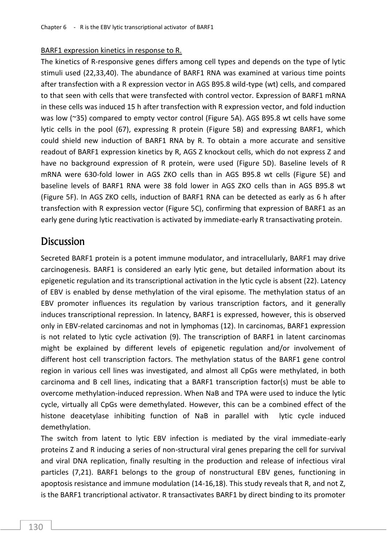#### BARF1 expression kinetics in response to R.

The kinetics of R-responsive genes differs among cell types and depends on the type of lytic stimuli used (22,33,40). The abundance of BARF1 RNA was examined at various time points after transfection with a R expression vector in AGS B95.8 wild-type (wt) cells, and compared to that seen with cells that were transfected with control vector. Expression of BARF1 mRNA in these cells was induced 15 h after transfection with R expression vector, and fold induction was low (~35) compared to empty vector control (Figure 5A). AGS B95.8 wt cells have some lytic cells in the pool (67), expressing R protein (Figure 5B) and expressing BARF1, which could shield new induction of BARF1 RNA by R. To obtain a more accurate and sensitive readout of BARF1 expression kinetics by R, AGS Z knockout cells, which do not express Z and have no background expression of R protein, were used (Figure 5D). Baseline levels of R mRNA were 630-fold lower in AGS ZKO cells than in AGS B95.8 wt cells (Figure 5E) and baseline levels of BARF1 RNA were 38 fold lower in AGS ZKO cells than in AGS B95.8 wt (Figure 5F). In AGS ZKO cells, induction of BARF1 RNA can be detected as early as 6 h after transfection with R expression vector (Figure 5C), confirming that expression of BARF1 as an early gene during lytic reactivation is activated by immediate-early R transactivating protein.

### **Discussion**

Secreted BARF1 protein is a potent immune modulator, and intracellularly, BARF1 may drive carcinogenesis. BARF1 is considered an early lytic gene, but detailed information about its epigenetic regulation and its transcriptional activation in the lytic cycle is absent (22). Latency of EBV is enabled by dense methylation of the viral episome. The methylation status of an EBV promoter influences its regulation by various transcription factors, and it generally induces transcriptional repression. In latency, BARF1 is expressed, however, this is observed only in EBV-related carcinomas and not in lymphomas (12). In carcinomas, BARF1 expression is not related to lytic cycle activation (9). The transcription of BARF1 in latent carcinomas might be explained by different levels of epigenetic regulation and/or involvement of different host cell transcription factors. The methylation status of the BARF1 gene control region in various cell lines was investigated, and almost all CpGs were methylated, in both carcinoma and B cell lines, indicating that a BARF1 transcription factor(s) must be able to overcome methylation-induced repression. When NaB and TPA were used to induce the lytic cycle, virtually all CpGs were demethylated. However, this can be a combined effect of the histone deacetylase inhibiting function of NaB in parallel with lytic cycle induced demethylation.

The switch from latent to lytic EBV infection is mediated by the viral immediate-early proteins Z and R inducing a series of non-structural viral genes preparing the cell for survival and viral DNA replication, finally resulting in the production and release of infectious viral particles (7,21). BARF1 belongs to the group of nonstructural EBV genes, functioning in apoptosis resistance and immune modulation (14-16,18). This study reveals that R, and not Z, is the BARF1 trancriptional activator. R transactivates BARF1 by direct binding to its promoter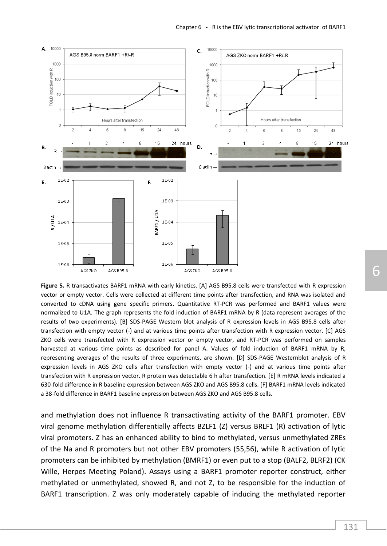

**Figure 5.** R transactivates BARF1 mRNA with early kinetics. [A] AGS B95.8 cells were transfected with R expression vector or empty vector. Cells were collected at different time points after transfection, and RNA was isolated and converted to cDNA using gene specific primers. Quantitative RT-PCR was performed and BARF1 values were normalized to U1A. The graph represents the fold induction of BARF1 mRNA by R (data represent averages of the results of two experiments). [B] SDS-PAGE Western blot analysis of R expression levels in AGS B95.8 cells after transfection with empty vector (-) and at various time points after transfection with R expression vector. [C] AGS ZKO cells were transfected with R expression vector or empty vector, and RT-PCR was performed on samples harvested at various time points as described for panel A. Values of fold induction of BARF1 mRNA by R, representing averages of the results of three experiments, are shown. [D] SDS-PAGE Westernblot analysis of R expression levels in AGS ZKO cells after transfection with empty vector (-) and at various time points after transfection with R expression vector. R protein was detectable 6 h after transfection. [E] R mRNA levels indicated a 630-fold difference in R baseline expression between AGS ZKO and AGS B95.8 cells. [F] BARF1 mRNA levels indicated a 38-fold difference in BARF1 baseline expression between AGS ZKO and AGS B95.8 cells.

and methylation does not influence R transactivating activity of the BARF1 promoter. EBV viral genome methylation differentially affects BZLF1 (Z) versus BRLF1 (R) activation of lytic viral promoters. Z has an enhanced ability to bind to methylated, versus unmethylated ZREs of the Na and R promoters but not other EBV promoters (55,56), while R activation of lytic promoters can be inhibited by methylation (BMRF1) or even put to a stop (BALF2, BLRF2) (CK Wille, Herpes Meeting Poland). Assays using a BARF1 promoter reporter construct, either methylated or unmethylated, showed R, and not Z, to be responsible for the induction of BARF1 transcription. Z was only moderately capable of inducing the methylated reporter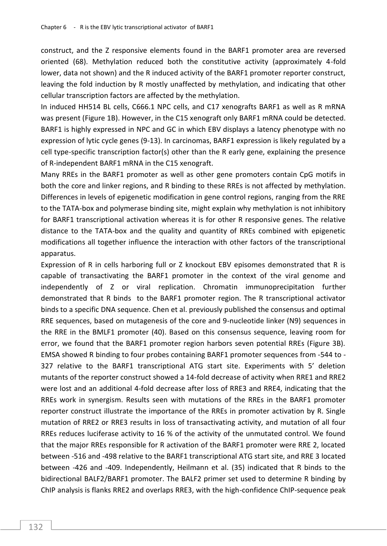construct, and the Z responsive elements found in the BARF1 promoter area are reversed oriented (68). Methylation reduced both the constitutive activity (approximately 4-fold lower, data not shown) and the R induced activity of the BARF1 promoter reporter construct, leaving the fold induction by R mostly unaffected by methylation, and indicating that other cellular transcription factors are affected by the methylation.

In induced HH514 BL cells, C666.1 NPC cells, and C17 xenografts BARF1 as well as R mRNA was present (Figure 1B). However, in the C15 xenograft only BARF1 mRNA could be detected. BARF1 is highly expressed in NPC and GC in which EBV displays a latency phenotype with no expression of lytic cycle genes (9-13). In carcinomas, BARF1 expression is likely regulated by a cell type-specific transcription factor(s) other than the R early gene, explaining the presence of R-independent BARF1 mRNA in the C15 xenograft.

Many RREs in the BARF1 promoter as well as other gene promoters contain CpG motifs in both the core and linker regions, and R binding to these RREs is not affected by methylation. Differences in levels of epigenetic modification in gene control regions, ranging from the RRE to the TATA-box and polymerase binding site, might explain why methylation is not inhibitory for BARF1 transcriptional activation whereas it is for other R responsive genes. The relative distance to the TATA-box and the quality and quantity of RREs combined with epigenetic modifications all together influence the interaction with other factors of the transcriptional apparatus.

Expression of R in cells harboring full or Z knockout EBV episomes demonstrated that R is capable of transactivating the BARF1 promoter in the context of the viral genome and independently of Z or viral replication. Chromatin immunoprecipitation further demonstrated that R binds to the BARF1 promoter region. The R transcriptional activator binds to a specific DNA sequence. Chen et al. previously published the consensus and optimal RRE sequences, based on mutagenesis of the core and 9-nucleotide linker (N9) sequences in the RRE in the BMLF1 promoter (40). Based on this consensus sequence, leaving room for error, we found that the BARF1 promoter region harbors seven potential RREs (Figure 3B). EMSA showed R binding to four probes containing BARF1 promoter sequences from -544 to - 327 relative to the BARF1 transcriptional ATG start site. Experiments with 5' deletion mutants of the reporter construct showed a 14-fold decrease of activity when RRE1 and RRE2 were lost and an additional 4-fold decrease after loss of RRE3 and RRE4, indicating that the RREs work in synergism. Results seen with mutations of the RREs in the BARF1 promoter reporter construct illustrate the importance of the RREs in promoter activation by R. Single mutation of RRE2 or RRE3 results in loss of transactivating activity, and mutation of all four RREs reduces luciferase activity to 16 % of the activity of the unmutated control. We found that the major RREs responsible for R activation of the BARF1 promoter were RRE 2, located between -516 and -498 relative to the BARF1 transcriptional ATG start site, and RRE 3 located between -426 and -409. Independently, Heilmann et al. (35) indicated that R binds to the bidirectional BALF2/BARF1 promoter. The BALF2 primer set used to determine R binding by ChIP analysis is flanks RRE2 and overlaps RRE3, with the high-confidence ChIP-sequence peak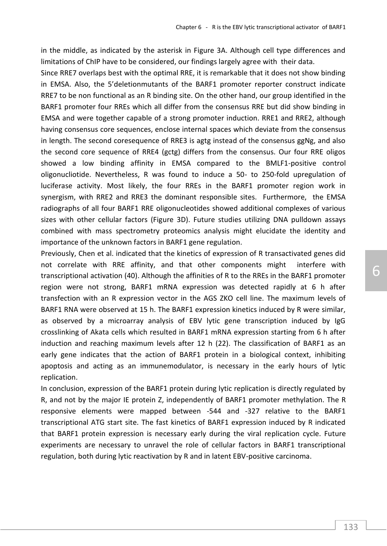in the middle, as indicated by the asterisk in Figure 3A. Although cell type differences and limitations of ChIP have to be considered, our findings largely agree with their data.

Since RRE7 overlaps best with the optimal RRE, it is remarkable that it does not show binding in EMSA. Also, the 5'deletionmutants of the BARF1 promoter reporter construct indicate RRE7 to be non functional as an R binding site. On the other hand, our group identified in the BARF1 promoter four RREs which all differ from the consensus RRE but did show binding in EMSA and were together capable of a strong promoter induction. RRE1 and RRE2, although having consensus core sequences, enclose internal spaces which deviate from the consensus in length. The second coresequence of RRE3 is agtg instead of the consensus ggNg, and also the second core sequence of RRE4 (gctg) differs from the consensus. Our four RRE oligos showed a low binding affinity in EMSA compared to the BMLF1-positive control oligonucliotide. Nevertheless, R was found to induce a 50- to 250-fold upregulation of luciferase activity. Most likely, the four RREs in the BARF1 promoter region work in synergism, with RRE2 and RRE3 the dominant responsible sites. Furthermore, the EMSA radiographs of all four BARF1 RRE oligonucleotides showed additional complexes of various sizes with other cellular factors (Figure 3D). Future studies utilizing DNA pulldown assays combined with mass spectrometry proteomics analysis might elucidate the identity and importance of the unknown factors in BARF1 gene regulation.

Previously, Chen et al. indicated that the kinetics of expression of R transactivated genes did not correlate with RRE affinity, and that other components might interfere with transcriptional activation (40). Although the affinities of R to the RREs in the BARF1 promoter region were not strong, BARF1 mRNA expression was detected rapidly at 6 h after transfection with an R expression vector in the AGS ZKO cell line. The maximum levels of BARF1 RNA were observed at 15 h. The BARF1 expression kinetics induced by R were similar, as observed by a microarray analysis of EBV lytic gene transcription induced by IgG crosslinking of Akata cells which resulted in BARF1 mRNA expression starting from 6 h after induction and reaching maximum levels after 12 h (22). The classification of BARF1 as an early gene indicates that the action of BARF1 protein in a biological context, inhibiting apoptosis and acting as an immunemodulator, is necessary in the early hours of lytic replication.

In conclusion, expression of the BARF1 protein during lytic replication is directly regulated by R, and not by the major IE protein Z, independently of BARF1 promoter methylation. The R responsive elements were mapped between -544 and -327 relative to the BARF1 transcriptional ATG start site. The fast kinetics of BARF1 expression induced by R indicated that BARF1 protein expression is necessary early during the viral replication cycle. Future experiments are necessary to unravel the role of cellular factors in BARF1 transcriptional regulation, both during lytic reactivation by R and in latent EBV-positive carcinoma.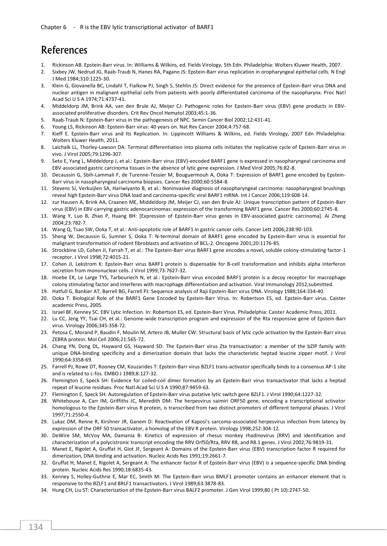### References

- 1. Rickinson AB. Epstein-Barr virus. In: Williams & Wilkins, ed. Fields Virology, 5th Edn. Philadelphia: Wolters Kluwer Health, 2007.
- 2. Sixbey JW, Nedrud JG, Raab-Traub N, Hanes RA, Pagano JS: Epstein-Barr virus replication in oropharyngeal epithelial cells. N Engl J Med 1984;310:1225-30.
- 3. Klein G, Giovanella BC, Lindahl T, Fialkow PJ, Singh S, Stehlin JS: Direct evidence for the presence of Epstein-Barr virus DNA and nuclear antigen in malignant epithelial cells from patients with poorly differentiated carcinoma of the nasopharynx. Proc Natl Acad Sci U S A 1974;71:4737-41.
- 4. Middeldorp JM, Brink AA, van den Brule AJ, Meijer CJ: Pathogenic roles for Epstein-Barr virus (EBV) gene products in EBVassociated proliferative disorders. Crit Rev Oncol Hematol 2003;45:1-36.
- 5. Raab-Traub N: Epstein-Barr virus in the pathogenesis of NPC. Semin Cancer Biol 2002;12:431-41.
- 6. Young LS, Rickinson AB: Epstein-Barr virus: 40 years on. Nat Rev Cancer 2004;4:757-68.
- 7. Kieff E. Epstein-Barr virus and Its Replication. In: Lippincott Williams & Wilkins, ed. Fields Virology, 2007 Edn Philadelphia: Wolters Kluwer Health, 2011.
- 8. Laichalk LL, Thorley-Lawson DA: Terminal differentiation into plasma cells initiates the replicative cycle of Epstein-Barr virus in vivo. J Virol 2005;79:1296-307.
- 9. Seto E, Yang L, Middeldorp J, et al.: Epstein-Barr virus (EBV)-encoded BARF1 gene is expressed in nasopharyngeal carcinoma and EBV-associated gastric carcinoma tissues in the absence of lytic gene expression. J Med Virol 2005;76:82-8.
- 10. Decaussin G, Sbih-Lammali F, de Turenne-Tessier M, Bouguermouh A, Ooka T: Expression of BARF1 gene encoded by Epstein-Barr virus in nasopharyngeal carcinoma biopsies. Cancer Res 2000;60:5584-8.
- 11. Stevens SJ, Verkuijlen SA, Hariwiyanto B, et al.: Noninvasive diagnosis of nasopharyngeal carcinoma: nasopharyngeal brushings reveal high Epstein-Barr virus DNA load and carcinoma-specific viral BARF1 mRNA. Int J Cancer 2006;119:608-14.
- 12. zur Hausen A, Brink AA, Craanen ME, Middeldorp JM, Meijer CJ, van den Brule AJ: Unique transcription pattern of Epstein-Barr virus (EBV) in EBV-carrying gastric adenocarcinomas: expression of the transforming BARF1 gene. Cancer Res 2000;60:2745-8.
- 13. Wang Y, Luo B, Zhao P, Huang BH: [Expression of Epstein-Barr virus genes in EBV-associated gastric carcinoma]. Ai Zheng 2004;23:782-7.
- 14. Wang Q, Tsao SW, Ooka T, et al.: Anti-apoptotic role of BARF1 in gastric cancer cells. Cancer Lett 2006;238:90-103.
- 15. Sheng W, Decaussin G, Sumner S, Ooka T: N-terminal domain of BARF1 gene encoded by Epstein-Barr virus is essential for malignant transformation of rodent fibroblasts and activation of BCL-2. Oncogene 2001;20:1176-85.
- 16. Strockbine LD, Cohen JI, Farrah T, et al.: The Epstein-Barr virus BARF1 gene encodes a novel, soluble colony-stimulating factor-1 receptor. J Virol 1998;72:4015-21.
- 17. Cohen JI, Lekstrom K: Epstein-Barr virus BARF1 protein is dispensable for B-cell transformation and inhibits alpha interferon secretion from mononuclear cells. J Virol 1999;73:7627-32.
- 18. Hoebe EK, Le Large TYS, Tarbouriech N, et al.: Epstein-Barr virus encoded BARF1 protein is a decoy receptor for macrophage colony stimulating factor and interferes with macrophage differentiation and activation. Viral Immunology 2012;submitted.
- 19. Hatfull G, Bankier AT, Barrell BG, Farrell PJ: Sequence analysis of Raji Epstein-Barr virus DNA. Virology 1988;164:334-40.
- 20. Ooka T. Biological Role of the BARF1 Gene Encoded by Epstein-Barr Virus. In: Robertson ES, ed. Epstein-Barr virus. Caister academic Press, 2005.
- 21. Israel BF, Kenney SC. EBV Lytic Infection. In: Robertson ES, ed. Epstein-Barr Virus. Philadelphia: Caister Academic Press, 2011.
- 22. Lu CC, Jeng YY, Tsai CH, et al.: Genome-wide transcription program and expression of the Rta responsive gene of Epstein-Barr virus. Virology 2006;345:358-72.
- 23. Petosa C, Morand P, Baudin F, Moulin M, Artero JB, Muller CW: Structural basis of lytic cycle activation by the Epstein-Barr virus ZEBRA protein. Mol Cell 2006;21:565-72.
- 24. Chang YN, Dong DL, Hayward GS, Hayward SD: The Epstein-Barr virus Zta transactivator: a member of the bZIP family with unique DNA-binding specificity and a dimerization domain that lacks the characteristic heptad leucine zipper motif. J Virol 1990;64:3358-69.
- 25. Farrell PJ, Rowe DT, Rooney CM, Kouzarides T: Epstein-Barr virus BZLF1 trans-activator specifically binds to a consensus AP-1 site and is related to c-fos. EMBO J 1989;8:127-32.
- 26. Flemington E, Speck SH: Evidence for coiled-coil dimer formation by an Epstein-Barr virus transactivator that lacks a heptad repeat of leucine residues. Proc Natl Acad Sci U S A 1990;87:9459-63.
- 27. Flemington E, Speck SH: Autoregulation of Epstein-Barr virus putative lytic switch gene BZLF1. J Virol 1990;64:1227-32.
- 28. Whitehouse A, Carr IM, Griffiths JC, Meredith DM: The herpesvirus saimiri ORF50 gene, encoding a transcriptional activator homologous to the Epstein-Barr virus R protein, is transcribed from two distinct promoters of different temporal phases. J Virol 1997;71:2550-4.
- 29. Lukac DM, Renne R, Kirshner JR, Ganem D: Reactivation of Kaposi's sarcoma-associated herpesvirus infection from latency by expression of the ORF 50 transactivator, a homolog of the EBV R protein. Virology 1998;252:304-12.
- 30. DeWire SM, McVoy MA, Damania B: Kinetics of expression of rhesus monkey rhadinovirus (RRV) and identification and characterization of a polycistronic transcript encoding the RRV Orf50/Rta, RRV R8, and R8.1 genes. J Virol 2002;76:9819-31.
- 31. Manet E, Rigolet A, Gruffat H, Giot JF, Sergeant A: Domains of the Epstein-Barr virus (EBV) transcription factor R required for dimerization, DNA binding and activation. Nucleic Acids Res 1991;19:2661-7.
- 32. Gruffat H, Manet E, Rigolet A, Sergeant A: The enhancer factor R of Epstein-Barr virus (EBV) is a sequence-specific DNA binding protein. Nucleic Acids Res 1990;18:6835-43.
- 33. Kenney S, Holley-Guthrie E, Mar EC, Smith M: The Epstein-Barr virus BMLF1 promoter contains an enhancer element that is responsive to the BZLF1 and BRLF1 transactivators. J Virol 1989;63:3878-83.
- 34. Hung CH, Liu ST: Characterization of the Epstein-Barr virus BALF2 promoter. J Gen Virol 1999;80 ( Pt 10):2747-50.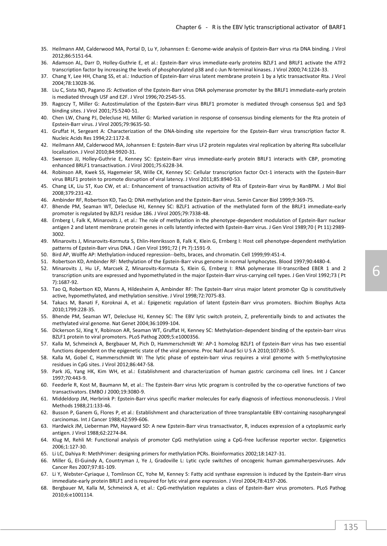- 35. Heilmann AM, Calderwood MA, Portal D, Lu Y, Johannsen E: Genome-wide analysis of Epstein-Barr virus rta DNA binding. J Virol 2012;86:5151-64.
- 36. Adamson AL, Darr D, Holley-Guthrie E, et al.: Epstein-Barr virus immediate-early proteins BZLF1 and BRLF1 activate the ATF2 transcription factor by increasing the levels of phosphorylated p38 and c-Jun N-terminal kinases. J Virol 2000;74:1224-33.
- 37. Chang Y, Lee HH, Chang SS, et al.: Induction of Epstein-Barr virus latent membrane protein 1 by a lytic transactivator Rta. J Virol 2004;78:13028-36.
- 38. Liu C, Sista ND, Pagano JS: Activation of the Epstein-Barr virus DNA polymerase promoter by the BRLF1 immediate-early protein is mediated through USF and E2F. J Virol 1996;70:2545-55.
- 39. Ragoczy T, Miller G: Autostimulation of the Epstein-Barr virus BRLF1 promoter is mediated through consensus Sp1 and Sp3 binding sites. J Virol 2001;75:5240-51.
- 40. Chen LW, Chang PJ, Delecluse HJ, Miller G: Marked variation in response of consensus binding elements for the Rta protein of Epstein-Barr virus. J Virol 2005;79:9635-50.
- 41. Gruffat H, Sergeant A: Characterization of the DNA-binding site repertoire for the Epstein-Barr virus transcription factor R. Nucleic Acids Res 1994;22:1172-8.
- 42. Heilmann AM, Calderwood MA, Johannsen E: Epstein-Barr virus LF2 protein regulates viral replication by altering Rta subcellular localization. J Virol 2010;84:9920-31.
- 43. Swenson JJ, Holley-Guthrie E, Kenney SC: Epstein-Barr virus immediate-early protein BRLF1 interacts with CBP, promoting enhanced BRLF1 transactivation. J Virol 2001;75:6228-34.
- 44. Robinson AR, Kwek SS, Hagemeier SR, Wille CK, Kenney SC: Cellular transcription factor Oct-1 interacts with the Epstein-Barr virus BRLF1 protein to promote disruption of viral latency. J Virol 2011;85:8940-53.
- 45. Chang LK, Liu ST, Kuo CW, et al.: Enhancement of transactivation activity of Rta of Epstein-Barr virus by RanBPM. J Mol Biol 2008;379:231-42.
- 46. Ambinder RF, Robertson KD, Tao Q: DNA methylation and the Epstein-Barr virus. Semin Cancer Biol 1999;9:369-75.
- 47. Bhende PM, Seaman WT, Delecluse HJ, Kenney SC: BZLF1 activation of the methylated form of the BRLF1 immediate-early promoter is regulated by BZLF1 residue 186. J Virol 2005;79:7338-48.
- 48. Ernberg I, Falk K, Minarovits J, et al.: The role of methylation in the phenotype-dependent modulation of Epstein-Barr nuclear antigen 2 and latent membrane protein genes in cells latently infected with Epstein-Barr virus. J Gen Virol 1989;70 ( Pt 11):2989- 3002.
- 49. Minarovits J, Minarovits-Kormuta S, Ehlin-Henriksson B, Falk K, Klein G, Ernberg I: Host cell phenotype-dependent methylation patterns of Epstein-Barr virus DNA. J Gen Virol 1991;72 ( Pt 7):1591-9.
- 50. Bird AP, Wolffe AP: Methylation-induced repression--belts, braces, and chromatin. Cell 1999;99:451-4.
- 51. Robertson KD, Ambinder RF: Methylation of the Epstein-Barr virus genome in normal lymphocytes. Blood 1997;90:4480-4.
- 52. Minarovits J, Hu LF, Marcsek Z, Minarovits-Kormuta S, Klein G, Ernberg I: RNA polymerase III-transcribed EBER 1 and 2 transcription units are expressed and hypomethylated in the major Epstein-Barr virus-carrying cell types. J Gen Virol 1992;73 ( Pt 7):1687-92.
- 53. Tao Q, Robertson KD, Manns A, Hildesheim A, Ambinder RF: The Epstein-Barr virus major latent promoter Qp is constitutively active, hypomethylated, and methylation sensitive. J Virol 1998;72:7075-83.
- 54. Takacs M, Banati F, Koroknai A, et al.: Epigenetic regulation of latent Epstein-Barr virus promoters. Biochim Biophys Acta 2010;1799:228-35.
- 55. Bhende PM, Seaman WT, Delecluse HJ, Kenney SC: The EBV lytic switch protein, Z, preferentially binds to and activates the methylated viral genome. Nat Genet 2004;36:1099-104.
- 56. Dickerson SJ, Xing Y, Robinson AR, Seaman WT, Gruffat H, Kenney SC: Methylation-dependent binding of the epstein-barr virus BZLF1 protein to viral promoters. PLoS Pathog 2009;5:e1000356.
- 57. Kalla M, Schmeinck A, Bergbauer M, Pich D, Hammerschmidt W: AP-1 homolog BZLF1 of Epstein-Barr virus has two essential functions dependent on the epigenetic state of the viral genome. Proc Natl Acad Sci U S A 2010;107:850-5.
- 58. Kalla M, Gobel C, Hammerschmidt W: The lytic phase of epstein-barr virus requires a viral genome with 5-methylcytosine residues in CpG sites. J Virol 2012;86:447-58.
- 59. Park JG, Yang HK, Kim WH, et al.: Establishment and characterization of human gastric carcinoma cell lines. Int J Cancer 1997;70:443-9.
- 60. Feederle R, Kost M, Baumann M, et al.: The Epstein-Barr virus lytic program is controlled by the co-operative functions of two transactivators. EMBO J 2000;19:3080-9.
- 61. Middeldorp JM, Herbrink P: Epstein-Barr virus specific marker molecules for early diagnosis of infectious mononucleosis. J Virol Methods 1988;21:133-46.
- 62. Busson P, Ganem G, Flores P, et al.: Establishment and characterization of three transplantable EBV-containing nasopharyngeal carcinomas. Int J Cancer 1988;42:599-606.
- 63. Hardwick JM, Lieberman PM, Hayward SD: A new Epstein-Barr virus transactivator, R, induces expression of a cytoplasmic early antigen. J Virol 1988;62:2274-84.
- 64. Klug M, Rehli M: Functional analysis of promoter CpG methylation using a CpG-free luciferase reporter vector. Epigenetics 2006;1:127-30.
- 65. Li LC, Dahiya R: MethPrimer: designing primers for methylation PCRs. Bioinformatics 2002;18:1427-31.
- 66. Miller G, El-Guindy A, Countryman J, Ye J, Gradoville L: Lytic cycle switches of oncogenic human gammaherpesviruses. Adv Cancer Res 2007;97:81-109.
- 67. Li Y, Webster-Cyriaque J, Tomlinson CC, Yohe M, Kenney S: Fatty acid synthase expression is induced by the Epstein-Barr virus immediate-early protein BRLF1 and is required for lytic viral gene expression. J Virol 2004;78:4197-206.
- 68. Bergbauer M, Kalla M, Schmeinck A, et al.: CpG-methylation regulates a class of Epstein-Barr virus promoters. PLoS Pathog 2010;6:e1001114.